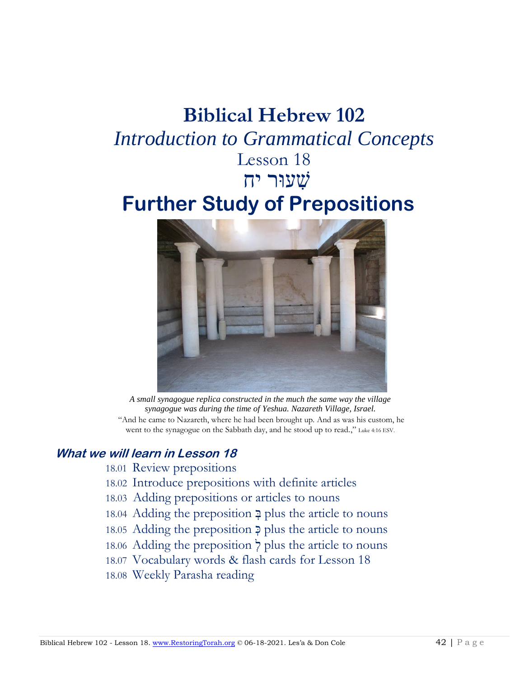# **Biblical Hebrew 102** *Introduction to Grammatical Concepts* Lesson 18

שׁ ִעוּר יח

# **Further Study of Prepositions**



*A small synagogue replica constructed in the much the same way the village synagogue was during the time of Yeshua. Nazareth Village, Israel.* "And he came to Nazareth, where he had been brought up. And as was his custom, he went to the synagogue on the Sabbath day, and he stood up to read.," Luke 4:16 ESV.

#### **What we will learn in Lesson 18**

- 18.01 Review prepositions
- 18.02 Introduce prepositions with definite articles
- 18.03 Adding prepositions or articles to nouns
- 18.04 Adding the preposition ִ בּ plus the article to nouns
- 18.05 Adding the preposition  $\geq$  plus the article to nouns
- 18.06 Adding the preposition  $\frac{1}{\ell}$  plus the article to nouns
- 18.07 Vocabulary words & flash cards for Lesson 18
- 18.08 Weekly Parasha reading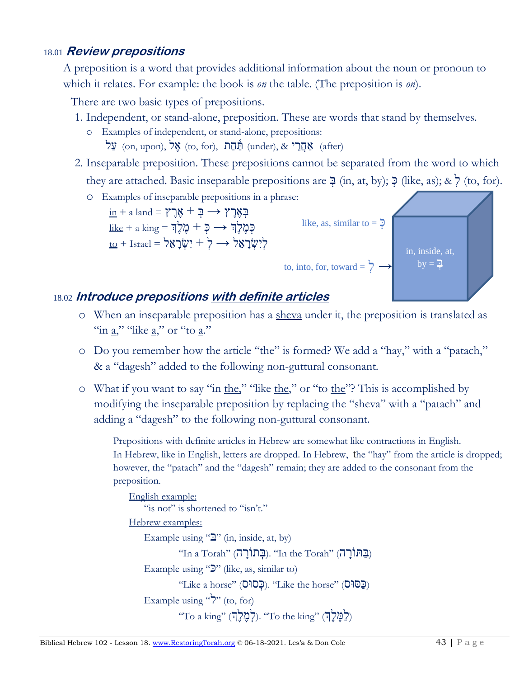#### 18.01 **Review prepositions**

A preposition is a word that provides additional information about the noun or pronoun to which it relates. For example: the book is *on* the table. (The preposition is *on*).

There are two basic types of prepositions.

- 1. Independent, or stand-alone, preposition. These are words that stand by themselves.
	- o Examples of independent, or stand-alone, prepositions:  $\mathbf{X}$  (on, upon),  $\mathbf{X}^{\mathbf{X}}$  (to, for), (under),  $\&$   $\mathbf{X}$  (after)
- 2. Inseparable preposition. These prepositions cannot be separated from the word to which they are attached. Basic inseparable prepositions are  $\exists$  (in, at, by);  $\exists$  (like, as); &  $\forall$  (to, for).





### 18.02 **Introduce prepositions with definite articles**

- o When an inseparable preposition has a sheva under it, the preposition is translated as "in  $a$ ," "like  $a$ ," or "to  $a$ ."
- o Do you remember how the article "the" is formed? We add a "hay," with a "patach," & a "dagesh" added to the following non-guttural consonant.
- o What if you want to say "in the," "like the," or "to the"? This is accomplished by modifying the inseparable preposition by replacing the "sheva" with a "patach" and adding a "dagesh" to the following non-guttural consonant.

Prepositions with definite articles in Hebrew are somewhat like contractions in English. In Hebrew, like in English, letters are dropped. In Hebrew, the "hay" from the article is dropped; however, the "patach" and the "dagesh" remain; they are added to the consonant from the preposition.

```
English example:
    "is not" is shortened to "isn't."
Hebrew examples: 
    Example using \mathcal{L}" (in, inside, at, by)
               "(בַּתּוֹרָה "In the Torah" (בְּתוֹרָה). "In the Torah"
    Example using "\mathcal{D}" (like, as, similar to)
               "Like a horse" (כָּסוּס). "Like the horse" (כָּפוּ\simExample using "\gamma" (to, for)
               ^{\prime\prime}לימֶלֶה). "To the king" (לְמֶלֶה) ("To ^{\prime\prime} a king"
```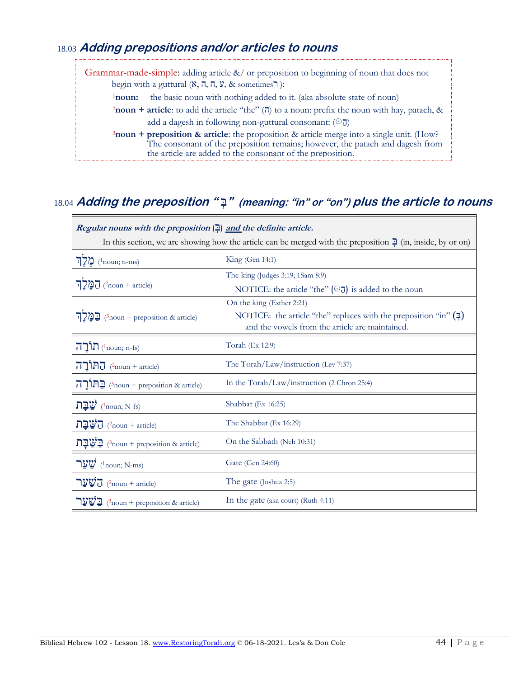#### 18.03 **Adding prepositions and/or articles to nouns**

ּ

Grammar-made-simple: adding article &/ or preposition to beginning of noun that does not begin with a guttural  $(X, \overline{n}, \overline{n}, \overline{y}, \&$  sometimes  $\neg$ ): <sup>1</sup>noun: the basic noun with nothing added to it. (aka absolute state of noun) **2noun + article**: to add the article "the" ( $\overline{a}$ ) to a noun: prefix the noun with hay, patach, & add a dagesh in following non-guttural consonant:  $(\odot$  $\overline{d})$ <sup>3</sup>**noun + preposition & article**: the proposition & article merge into a single unit. (How? The consonant of the preposition remains; however, the patach and dagesh from the article are added to the consonant of the preposition.

#### 18.04 **Adding the preposition "** ִ בּ**) "meaning: "in" or "on") plus the article to nouns**

| <i>Regular nouns with the preposition</i> $\left(\frac{m}{n}\right)$ and the definite article.                          |                                                                                                                       |  |  |
|-------------------------------------------------------------------------------------------------------------------------|-----------------------------------------------------------------------------------------------------------------------|--|--|
| In this section, we are showing how the article can be merged with the preposition $\frac{1}{2}$ (in, inside, by or on) |                                                                                                                       |  |  |
| $\sum_{n=1}^{\infty}$ ( <sup>1</sup> noun; n-ms)                                                                        | King (Gen 14:1)                                                                                                       |  |  |
| $\Box$ מַלְךְ                                                                                                           | The king (Judges 3:19; 1Sam 8:9)                                                                                      |  |  |
|                                                                                                                         | NOTICE: the article "the" $(\odot)$ is added to the noun                                                              |  |  |
| <u>בַּמֶּלְךָ</u>                                                                                                       | On the king (Esther 2:21)                                                                                             |  |  |
|                                                                                                                         | NOTICE: the article "the" replaces with the preposition "in" $(2)$<br>and the vowels from the article are maintained. |  |  |
| תוֹרָה (4noun; n-fs)                                                                                                    | Torah (Ex 12:9)                                                                                                       |  |  |
| החוֹרָה (and + article)                                                                                                 | The Torah/Law/instruction (Lev 7:37)                                                                                  |  |  |
| הורה (3noun + preposition & article)                                                                                    | In the Torah/Law/instruction (2 Chron 25:4)                                                                           |  |  |
| שַׁבַּת<br>$(^1$ noun; N-fs)                                                                                            | Shabbat (Ex 16:25)                                                                                                    |  |  |
| $\overline{\mathbf{C}}$ $\overline{\mathbf{C}}$ $\overline{\mathbf{C}}$ $(2_{\text{noun}} + \text{article})$            | The Shabbat (Ex 16:29)                                                                                                |  |  |
| $\mathbf{D} \mathbf{D}$ י מוסח $\mathbf{P}$ (3 Approximate)                                                             | On the Sabbath (Neh 10:31)                                                                                            |  |  |
| שַׁעַר (1 noun; N-ms)                                                                                                   | Gate (Gen 24:60)                                                                                                      |  |  |
| הַ $\overline{\Psi}$ הַ $\overline{\Psi}$ (2noun + article)                                                             | The gate (Joshua 2:5)                                                                                                 |  |  |
| <u>ישער (3noun + preposition &amp; article</u> )                                                                        | In the gate (aka court) (Ruth 4:11)                                                                                   |  |  |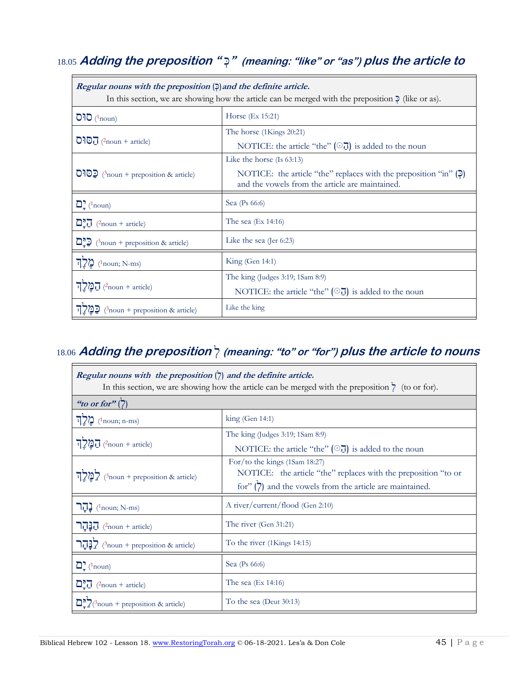## 18.05 **Adding the preposition "** ִ כּ**) "meaning: "like" or "as") plus the article to**

| Regular nouns with the preposition $(2)$ and the definite article.<br>In this section, we are showing how the article can be merged with the preposition $\bar{P}$ (like or as). |                                                                                                                       |  |
|----------------------------------------------------------------------------------------------------------------------------------------------------------------------------------|-----------------------------------------------------------------------------------------------------------------------|--|
| $O1O$ ( <sup>1</sup> noun)                                                                                                                                                       | Horse (Ex 15:21)                                                                                                      |  |
| $\overline{O}$ <sup>2</sup> ( $\overline{O}$ ( $\overline{O}$ ( $\overline{O}$ article)                                                                                          | The horse (1Kings 20:21)                                                                                              |  |
|                                                                                                                                                                                  | NOTICE: the article "the" $(\odot)$ is added to the noun                                                              |  |
| $\overline{O}$ <sup>3</sup> noun + preposition & article)                                                                                                                        | Like the horse $(Is 63:13)$                                                                                           |  |
|                                                                                                                                                                                  | NOTICE: the article "the" replaces with the preposition "in" $(2)$<br>and the vowels from the article are maintained. |  |
| $\sum_{\tau}$ ( <sup>1</sup> noun)                                                                                                                                               | Sea (Ps 66:6)                                                                                                         |  |
| $\Box \overline{\Box}$ (2noun + article)                                                                                                                                         | The sea $(Ex\ 14:16)$                                                                                                 |  |
| $\mathbb{Z}$ $\mathbb{Z}$ (3 noun + preposition & article)                                                                                                                       | Like the sea (Jer $6:23$ )                                                                                            |  |
| מֵלֵך<br>$(1$ noun; N-ms)                                                                                                                                                        | King(Gen 14:1)                                                                                                        |  |
| $\Box$ מַקֲלְךָ                                                                                                                                                                  | The king (Judges 3:19; 1Sam 8:9)                                                                                      |  |
|                                                                                                                                                                                  | NOTICE: the article "the" $(\odot)$ is added to the noun                                                              |  |
| $\beta$ noun + preposition & article)                                                                                                                                            | Like the king                                                                                                         |  |

## 18.06 **Adding the preposition** ִ ל**) meaning: "to" or "for") plus the article to nouns**

| Regular nouns with the preposition $\langle \rangle$ and the definite article.<br>In this section, we are showing how the article can be merged with the preposition $\frac{1}{\zeta}$ (to or for). |                                                                                                                                                               |  |  |
|-----------------------------------------------------------------------------------------------------------------------------------------------------------------------------------------------------|---------------------------------------------------------------------------------------------------------------------------------------------------------------|--|--|
| "to or for" $(7)$                                                                                                                                                                                   |                                                                                                                                                               |  |  |
| $\sum_{n=1}^{\infty}$ ( <sup>1</sup> noun; n-ms)                                                                                                                                                    | $\text{king (Gen 14:1)}$                                                                                                                                      |  |  |
| $\Box$ מַלְךְ                                                                                                                                                                                       | The king (Judges 3:19; 1Sam 8:9)<br>NOTICE: the article "the" $(\odot)$ is added to the noun                                                                  |  |  |
| $\frac{1}{2} \sum_{n=1}^{\infty}$ לְמֵלְךְ (3noun + preposition & article)                                                                                                                          | For/to the kings (1Sam 18:27)<br>NOTICE: the article "the" replaces with the preposition "to or<br>for" $(7)$ and the vowels from the article are maintained. |  |  |
| הר ( <sup>1</sup> noun; N-ms)                                                                                                                                                                       | A river/current/flood (Gen 2:10)                                                                                                                              |  |  |
| $\prod$ יַבְּהַר (2noun + article)                                                                                                                                                                  | The river (Gen 31:21)                                                                                                                                         |  |  |
| בְהַר $\frac{1}{2}$ (3 <sub>100m</sub> + preposition & article)                                                                                                                                     | To the river (1Kings 14:15)                                                                                                                                   |  |  |
| $\mathbf{D}$ ( <sup>1</sup> noun)                                                                                                                                                                   | Sea (Ps 66:6)                                                                                                                                                 |  |  |
| $\Box \Box$ (2 noun + article)                                                                                                                                                                      | The sea $(Ex\ 14:16)$                                                                                                                                         |  |  |
| $\sum_{n=1}^{\infty} \frac{1}{2}$ (3 noun + preposition & article)                                                                                                                                  | To the sea (Deut $30:13$ )                                                                                                                                    |  |  |